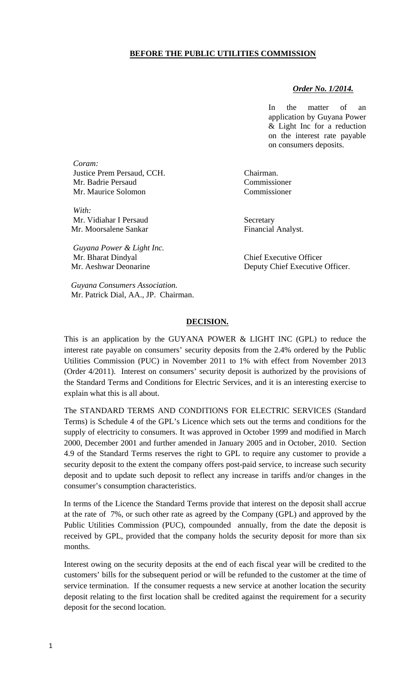## **BEFORE THE PUBLIC UTILITIES COMMISSION**

## *Order No. 1/2014.*

In the matter of an application by Guyana Power & Light Inc for a reduction on the interest rate payable on consumers deposits.

Mr. Aeshwar Deonarine **Deputy Chief Executive Officer.** 

*Coram:*  Justice Prem Persaud, CCH. Chairman. Mr. Badrie Persaud Commissioner Mr. Maurice Solomon Commissioner

*With:*  Mr. Vidiahar I Persaud Secretary Mr. Moorsalene Sankar Financial Analyst.

 *Guyana Power & Light Inc.*  Mr. Bharat Dindyal Chief Executive Officer

 *Guyana Consumers Association.* Mr. Patrick Dial, AA., JP. Chairman.

## **DECISION.**

This is an application by the GUYANA POWER & LIGHT INC (GPL) to reduce the interest rate payable on consumers' security deposits from the 2.4% ordered by the Public Utilities Commission (PUC) in November 2011 to 1% with effect from November 2013 (Order 4/2011). Interest on consumers' security deposit is authorized by the provisions of the Standard Terms and Conditions for Electric Services, and it is an interesting exercise to explain what this is all about.

The STANDARD TERMS AND CONDITIONS FOR ELECTRIC SERVICES (Standard Terms) is Schedule 4 of the GPL's Licence which sets out the terms and conditions for the supply of electricity to consumers. It was approved in October 1999 and modified in March 2000, December 2001 and further amended in January 2005 and in October, 2010. Section 4.9 of the Standard Terms reserves the right to GPL to require any customer to provide a security deposit to the extent the company offers post-paid service, to increase such security deposit and to update such deposit to reflect any increase in tariffs and/or changes in the consumer's consumption characteristics.

In terms of the Licence the Standard Terms provide that interest on the deposit shall accrue at the rate of 7%, or such other rate as agreed by the Company (GPL) and approved by the Public Utilities Commission (PUC), compounded annually, from the date the deposit is received by GPL, provided that the company holds the security deposit for more than six months.

Interest owing on the security deposits at the end of each fiscal year will be credited to the customers' bills for the subsequent period or will be refunded to the customer at the time of service termination. If the consumer requests a new service at another location the security deposit relating to the first location shall be credited against the requirement for a security deposit for the second location.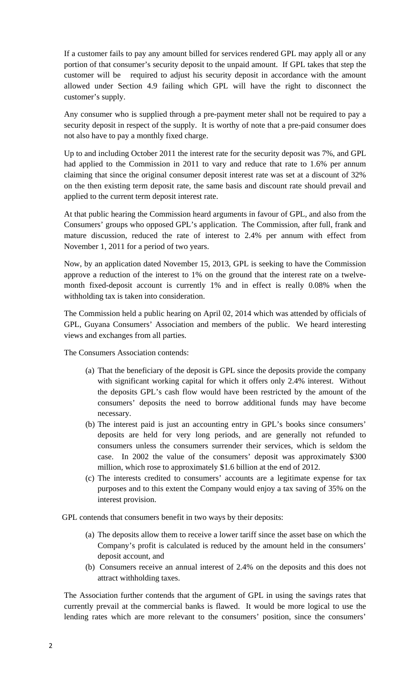If a customer fails to pay any amount billed for services rendered GPL may apply all or any portion of that consumer's security deposit to the unpaid amount. If GPL takes that step the customer will be required to adjust his security deposit in accordance with the amount allowed under Section 4.9 failing which GPL will have the right to disconnect the customer's supply.

Any consumer who is supplied through a pre-payment meter shall not be required to pay a security deposit in respect of the supply. It is worthy of note that a pre-paid consumer does not also have to pay a monthly fixed charge.

Up to and including October 2011 the interest rate for the security deposit was 7%, and GPL had applied to the Commission in 2011 to vary and reduce that rate to 1.6% per annum claiming that since the original consumer deposit interest rate was set at a discount of 32% on the then existing term deposit rate, the same basis and discount rate should prevail and applied to the current term deposit interest rate.

At that public hearing the Commission heard arguments in favour of GPL, and also from the Consumers' groups who opposed GPL's application. The Commission, after full, frank and mature discussion, reduced the rate of interest to 2.4% per annum with effect from November 1, 2011 for a period of two years.

Now, by an application dated November 15, 2013, GPL is seeking to have the Commission approve a reduction of the interest to 1% on the ground that the interest rate on a twelvemonth fixed-deposit account is currently 1% and in effect is really 0.08% when the withholding tax is taken into consideration.

The Commission held a public hearing on April 02, 2014 which was attended by officials of GPL, Guyana Consumers' Association and members of the public. We heard interesting views and exchanges from all parties.

The Consumers Association contends:

- (a) That the beneficiary of the deposit is GPL since the deposits provide the company with significant working capital for which it offers only 2.4% interest. Without the deposits GPL's cash flow would have been restricted by the amount of the consumers' deposits the need to borrow additional funds may have become necessary.
- (b) The interest paid is just an accounting entry in GPL's books since consumers' deposits are held for very long periods, and are generally not refunded to consumers unless the consumers surrender their services, which is seldom the case. In 2002 the value of the consumers' deposit was approximately \$300 million, which rose to approximately \$1.6 billion at the end of 2012.
- (c) The interests credited to consumers' accounts are a legitimate expense for tax purposes and to this extent the Company would enjoy a tax saving of 35% on the interest provision.

GPL contends that consumers benefit in two ways by their deposits:

- (a) The deposits allow them to receive a lower tariff since the asset base on which the Company's profit is calculated is reduced by the amount held in the consumers' deposit account, and
- (b) Consumers receive an annual interest of 2.4% on the deposits and this does not attract withholding taxes.

The Association further contends that the argument of GPL in using the savings rates that currently prevail at the commercial banks is flawed. It would be more logical to use the lending rates which are more relevant to the consumers' position, since the consumers'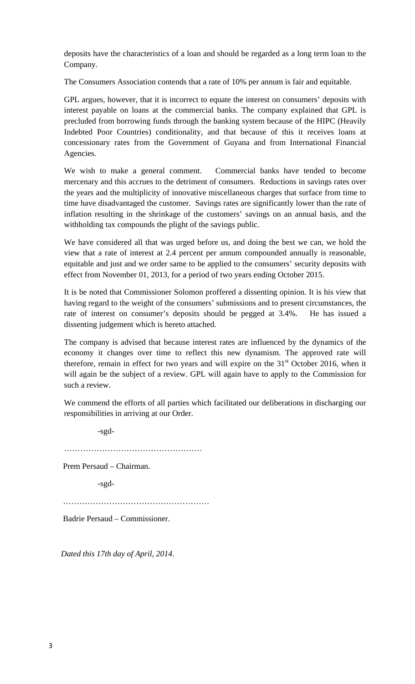deposits have the characteristics of a loan and should be regarded as a long term loan to the Company.

The Consumers Association contends that a rate of 10% per annum is fair and equitable.

GPL argues, however, that it is incorrect to equate the interest on consumers' deposits with interest payable on loans at the commercial banks. The company explained that GPL is precluded from borrowing funds through the banking system because of the HIPC (Heavily Indebted Poor Countries) conditionality, and that because of this it receives loans at concessionary rates from the Government of Guyana and from International Financial Agencies.

We wish to make a general comment. Commercial banks have tended to become mercenary and this accrues to the detriment of consumers. Reductions in savings rates over the years and the multiplicity of innovative miscellaneous charges that surface from time to time have disadvantaged the customer. Savings rates are significantly lower than the rate of inflation resulting in the shrinkage of the customers' savings on an annual basis, and the withholding tax compounds the plight of the savings public.

We have considered all that was urged before us, and doing the best we can, we hold the view that a rate of interest at 2.4 percent per annum compounded annually is reasonable, equitable and just and we order same to be applied to the consumers' security deposits with effect from November 01, 2013, for a period of two years ending October 2015.

It is be noted that Commissioner Solomon proffered a dissenting opinion. It is his view that having regard to the weight of the consumers' submissions and to present circumstances, the rate of interest on consumer's deposits should be pegged at 3.4%. He has issued a dissenting judgement which is hereto attached.

The company is advised that because interest rates are influenced by the dynamics of the economy it changes over time to reflect this new dynamism. The approved rate will therefore, remain in effect for two years and will expire on the  $31<sup>st</sup>$  October 2016, when it will again be the subject of a review. GPL will again have to apply to the Commission for such a review.

We commend the efforts of all parties which facilitated our deliberations in discharging our responsibilities in arriving at our Order.

-sgd-

……………………………………………

Prem Persaud – Chairman.

-sgd-

………………………………………………

Badrie Persaud – Commissioner.

 *Dated this 17th day of April, 2014*.